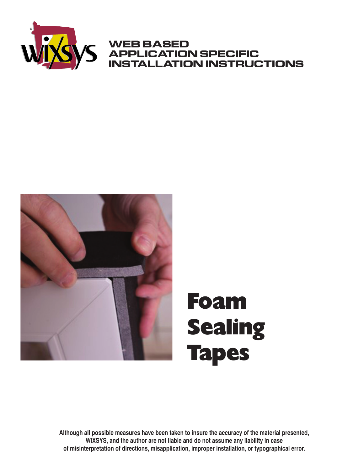

# **WEB BASED APPLICATION SPECIFIC INSTALLATION INSTRUCTIONS**



# Foam Sealing Tapes

**Although all possible measures have been taken to insure the accuracy of the material presented, WIXSYS, and the author are not liable and do not assume any liability in case of misinterpretation of directions, misapplication, improper installation, or typographical error.**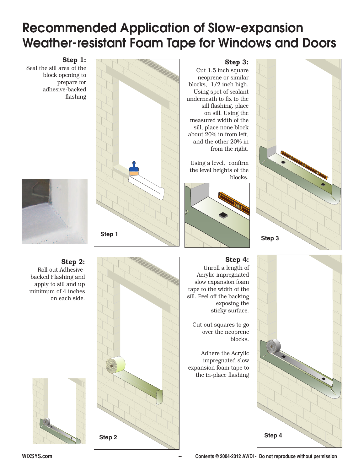# **Recommended Application of Slow-expansion Weather-resistant Foam Tape for Windows and Doors**

# **Step 1:**

Seal the sill area of the block opening to prepare for adhesive-backed flashing



# **Step 2:**

**Step 1**

**Step 2**

Roll out Adhesivebacked Flashing and apply to sill and up minimum of 4 inches on each side.



#### **Step 3:**

Cut 1.5 inch square neoprene or similar blocks, 1/2 inch high. Using spot of sealant underneath to fix to the sill flashing, place on sill. Using the measured width of the sill, place none block about 20% in from left, and the other 20% in from the right.

Using a level, confirm the level heights of the blocks.



# **Step 3**

# **Step 4:**

Unroll a length of Acrylic impregnated slow expansion foam tape to the width of the sill. Peel off the backing exposing the sticky surface.

Cut out squares to go over the neoprene blocks.

Adhere the Acrylic impregnated slow expansion foam tape to the in-place flashing

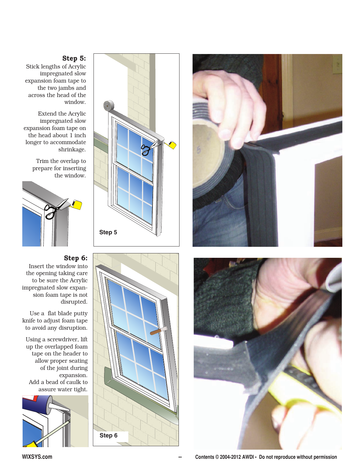## **Step 5:**

Stick lengths of Acrylic impregnated slow expansion foam tape to the two jambs and across the head of the window.

Extend the Acrylic impregnated slow expansion foam tape on the head about 1 inch longer to accommodate shrinkage.

> Trim the overlap to prepare for inserting the window.



# **Step 6:**

Insert the window into the opening taking care to be sure the Acrylic impregnated slow expansion foam tape is not disrupted.

Use a flat blade putty knife to adjust foam tape to avoid any disruption.

Using a screwdriver, lift up the overlapped foam tape on the header to allow proper seating of the joint during expansion. Add a bead of caulk to assure water tight.









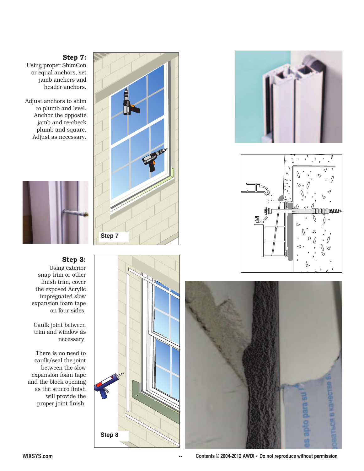## **Step 7:**

Using proper ShimCon or equal anchors, set jamb anchors and header anchors.

Adjust anchors to shim to plumb and level. Anchor the opposite jamb and re-check plumb and square. Adjust as necessary.



#### **Step 8:** Using exterior snap trim or other finish trim, cover the exposed Acrylic impregnated slow expansion foam tape

on four sides.

Caulk joint between trim and window as necessary.

There is no need to caulk/seal the joint between the slow expansion foam tape and the block opening as the stucco finish will provide the proper joint finish.